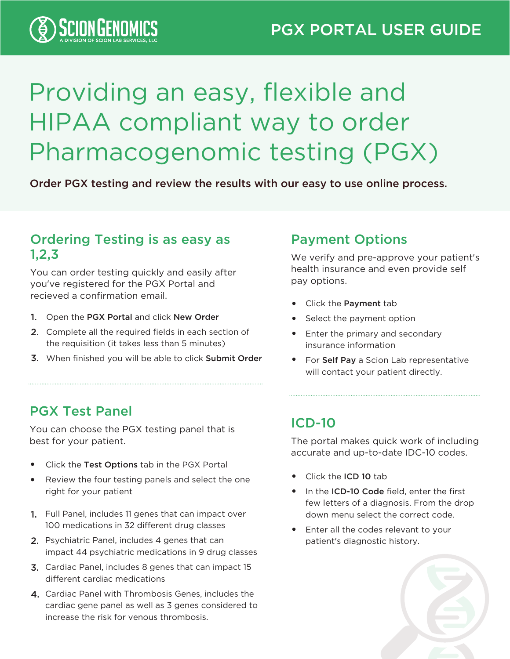

# Providing an easy, flexible and HIPAA compliant way to order Pharmacogenomic testing (PGX)

Order PGX testing and review the results with our easy to use online process.

#### Ordering Testing is as easy as 1,2,3

You can order testing quickly and easily after you've registered for the PGX Portal and recieved a confirmation email.

- 1. Open the PGX Portal and click New Order
- 2. Complete all the required fields in each section of the requisition (it takes less than 5 minutes)
- 3. When finished you will be able to click Submit Order

#### Payment Options

We verify and pre-approve your patient's health insurance and even provide self pay options.

- Click the Payment tab
- Select the payment option
- Enter the primary and secondary insurance information
- For Self Pay a Scion Lab representative will contact your patient directly.

#### PGX Test Panel

You can choose the PGX testing panel that is best for your patient.

- Click the Test Options tab in the PGX Portal •
- Review the four testing panels and select the one right for your patient •
- 1. Full Panel, includes 11 genes that can impact over 100 medications in 32 different drug classes
- 2. Psychiatric Panel, includes 4 genes that can impact 44 psychiatric medications in 9 drug classes
- 3. Cardiac Panel, includes 8 genes that can impact 15 different cardiac medications
- 4. Cardiac Panel with Thrombosis Genes, includes the cardiac gene panel as well as 3 genes considered to increase the risk for venous thrombosis.

#### ICD-10

The portal makes quick work of including accurate and up-to-date IDC-10 codes.

- Click the ICD 10 tab
- In the ICD-10 Code field, enter the first few letters of a diagnosis. From the drop down menu select the correct code.
- Enter all the codes relevant to your patient's diagnostic history. •